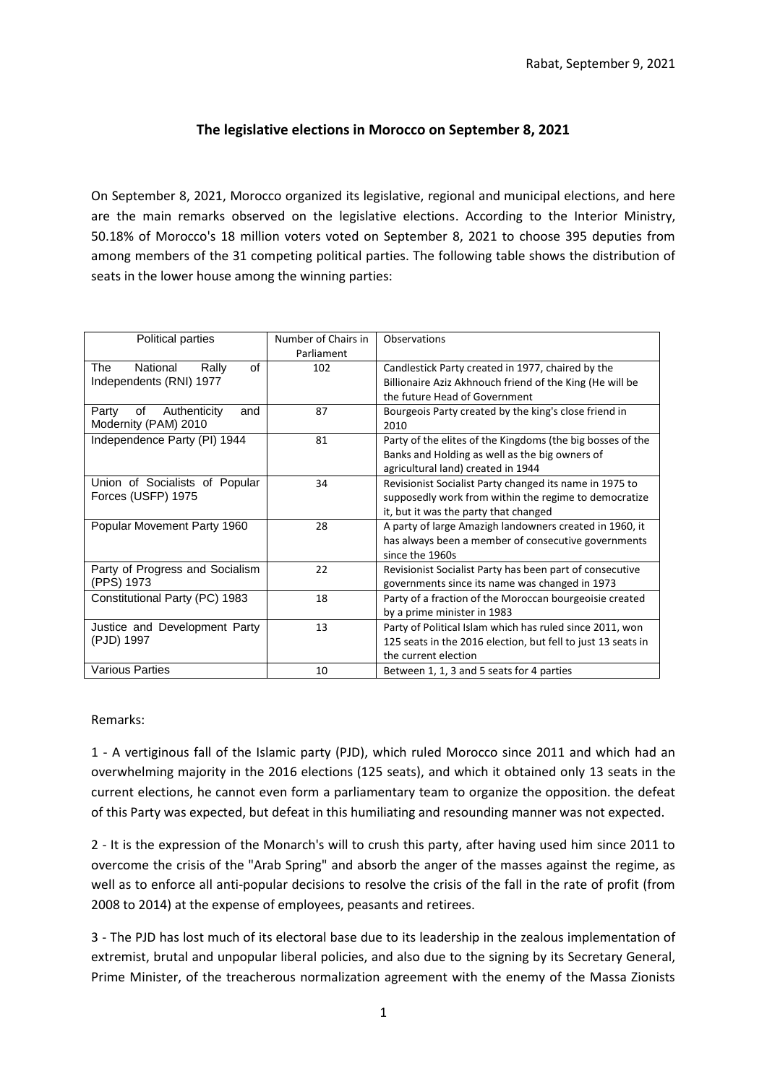## **The legislative elections in Morocco on September 8, 2021**

On September 8, 2021, Morocco organized its legislative, regional and municipal elections, and here are the main remarks observed on the legislative elections. According to the Interior Ministry, 50.18% of Morocco's 18 million voters voted on September 8, 2021 to choose 395 deputies from among members of the 31 competing political parties. The following table shows the distribution of seats in the lower house among the winning parties:

| Political parties                  | Number of Chairs in | Observations                                                 |
|------------------------------------|---------------------|--------------------------------------------------------------|
|                                    | Parliament          |                                                              |
| of<br>The<br>National<br>Rally     | 102                 | Candlestick Party created in 1977, chaired by the            |
| Independents (RNI) 1977            |                     | Billionaire Aziz Akhnouch friend of the King (He will be     |
|                                    |                     | the future Head of Government                                |
| of<br>Authenticity<br>Party<br>and | 87                  | Bourgeois Party created by the king's close friend in        |
| Modernity (PAM) 2010               |                     | 2010                                                         |
| Independence Party (PI) 1944       | 81                  | Party of the elites of the Kingdoms (the big bosses of the   |
|                                    |                     | Banks and Holding as well as the big owners of               |
|                                    |                     | agricultural land) created in 1944                           |
| Union of Socialists of Popular     | 34                  | Revisionist Socialist Party changed its name in 1975 to      |
| Forces (USFP) 1975                 |                     | supposedly work from within the regime to democratize        |
|                                    |                     | it, but it was the party that changed                        |
| Popular Movement Party 1960        | 28                  | A party of large Amazigh landowners created in 1960, it      |
|                                    |                     | has always been a member of consecutive governments          |
|                                    |                     | since the 1960s                                              |
| Party of Progress and Socialism    | 22                  | Revisionist Socialist Party has been part of consecutive     |
| (PPS) 1973                         |                     | governments since its name was changed in 1973               |
| Constitutional Party (PC) 1983     | 18                  | Party of a fraction of the Moroccan bourgeoisie created      |
|                                    |                     | by a prime minister in 1983                                  |
| Justice and Development Party      | 13                  | Party of Political Islam which has ruled since 2011, won     |
| (PJD) 1997                         |                     | 125 seats in the 2016 election, but fell to just 13 seats in |
|                                    |                     | the current election                                         |
| <b>Various Parties</b>             | 10                  | Between 1, 1, 3 and 5 seats for 4 parties                    |

Remarks:

1 - A vertiginous fall of the Islamic party (PJD), which ruled Morocco since 2011 and which had an overwhelming majority in the 2016 elections (125 seats), and which it obtained only 13 seats in the current elections, he cannot even form a parliamentary team to organize the opposition. the defeat of this Party was expected, but defeat in this humiliating and resounding manner was not expected.

2 - It is the expression of the Monarch's will to crush this party, after having used him since 2011 to overcome the crisis of the "Arab Spring" and absorb the anger of the masses against the regime, as well as to enforce all anti-popular decisions to resolve the crisis of the fall in the rate of profit (from 2008 to 2014) at the expense of employees, peasants and retirees.

3 - The PJD has lost much of its electoral base due to its leadership in the zealous implementation of extremist, brutal and unpopular liberal policies, and also due to the signing by its Secretary General, Prime Minister, of the treacherous normalization agreement with the enemy of the Massa Zionists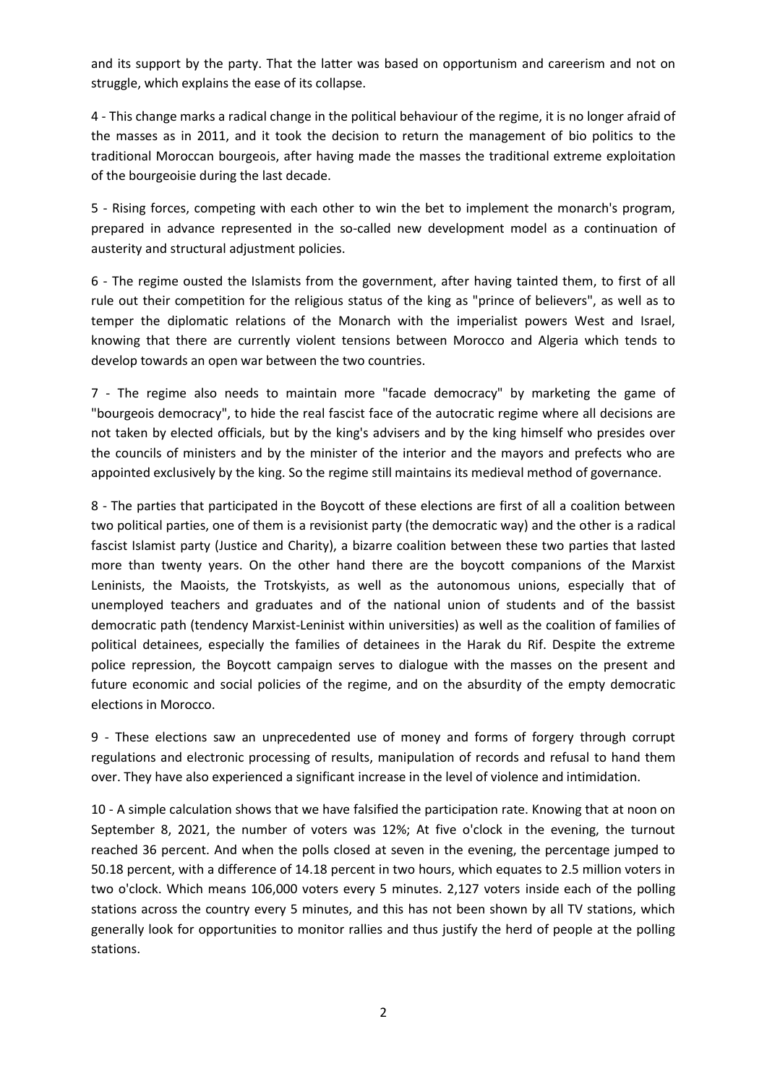and its support by the party. That the latter was based on opportunism and careerism and not on struggle, which explains the ease of its collapse.

4 - This change marks a radical change in the political behaviour of the regime, it is no longer afraid of the masses as in 2011, and it took the decision to return the management of bio politics to the traditional Moroccan bourgeois, after having made the masses the traditional extreme exploitation of the bourgeoisie during the last decade.

5 - Rising forces, competing with each other to win the bet to implement the monarch's program, prepared in advance represented in the so-called new development model as a continuation of austerity and structural adjustment policies.

6 - The regime ousted the Islamists from the government, after having tainted them, to first of all rule out their competition for the religious status of the king as "prince of believers", as well as to temper the diplomatic relations of the Monarch with the imperialist powers West and Israel, knowing that there are currently violent tensions between Morocco and Algeria which tends to develop towards an open war between the two countries.

7 - The regime also needs to maintain more "facade democracy" by marketing the game of "bourgeois democracy", to hide the real fascist face of the autocratic regime where all decisions are not taken by elected officials, but by the king's advisers and by the king himself who presides over the councils of ministers and by the minister of the interior and the mayors and prefects who are appointed exclusively by the king. So the regime still maintains its medieval method of governance.

8 - The parties that participated in the Boycott of these elections are first of all a coalition between two political parties, one of them is a revisionist party (the democratic way) and the other is a radical fascist Islamist party (Justice and Charity), a bizarre coalition between these two parties that lasted more than twenty years. On the other hand there are the boycott companions of the Marxist Leninists, the Maoists, the Trotskyists, as well as the autonomous unions, especially that of unemployed teachers and graduates and of the national union of students and of the bassist democratic path (tendency Marxist-Leninist within universities) as well as the coalition of families of political detainees, especially the families of detainees in the Harak du Rif. Despite the extreme police repression, the Boycott campaign serves to dialogue with the masses on the present and future economic and social policies of the regime, and on the absurdity of the empty democratic elections in Morocco.

9 - These elections saw an unprecedented use of money and forms of forgery through corrupt regulations and electronic processing of results, manipulation of records and refusal to hand them over. They have also experienced a significant increase in the level of violence and intimidation.

10 - A simple calculation shows that we have falsified the participation rate. Knowing that at noon on September 8, 2021, the number of voters was 12%; At five o'clock in the evening, the turnout reached 36 percent. And when the polls closed at seven in the evening, the percentage jumped to 50.18 percent, with a difference of 14.18 percent in two hours, which equates to 2.5 million voters in two o'clock. Which means 106,000 voters every 5 minutes. 2,127 voters inside each of the polling stations across the country every 5 minutes, and this has not been shown by all TV stations, which generally look for opportunities to monitor rallies and thus justify the herd of people at the polling stations.